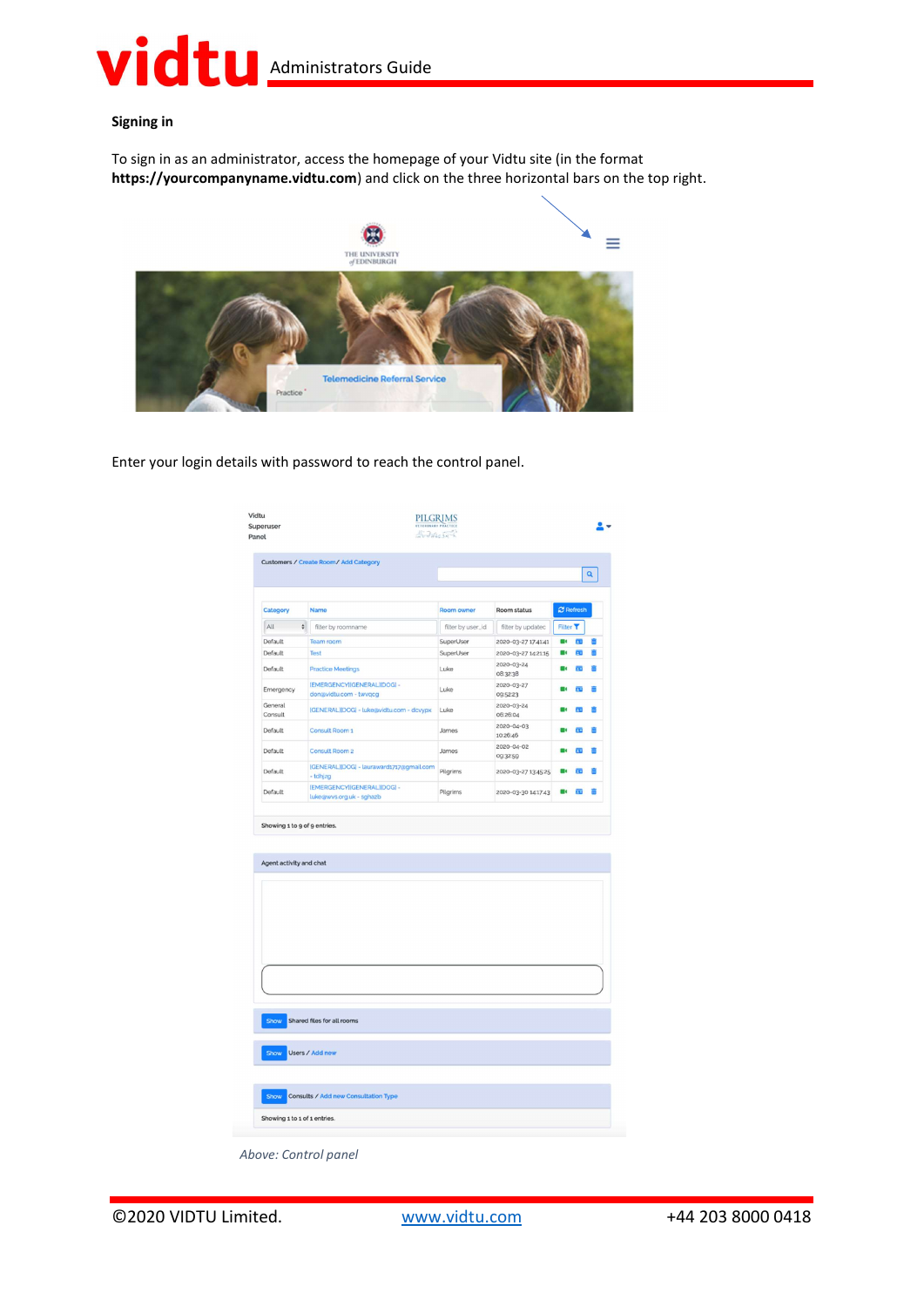### **Vidtu** Administrators Guide

#### Signing in

To sign in as an administrator, access the homepage of your Vidtu site (in the format https://yourcompanyname.vidtu.com) and click on the three horizontal bars on the top right.



Enter your login details with password to reach the control panel.

|                    |                                                         |                   |                        |                |                         | Q |
|--------------------|---------------------------------------------------------|-------------------|------------------------|----------------|-------------------------|---|
| Category           | <b>Name</b>                                             | Room owner        | Room status            |                | <b>C</b> Refresh        |   |
| All<br>$\div$      | filter by roomname                                      | filter by user_id | filter by updatec      | Filter T       |                         |   |
| Default            | Team room                                               | SuperUser         | 2020-03-27 17:41:41    | m d            | Œ                       | ô |
| Default            | Test                                                    | SuperUser         | 2020-03-27 142115      | O)             | 西                       | Ô |
| Default            | <b>Practice Meetings</b>                                | Luke              | 2020-03-24<br>08:32:38 | $\blacksquare$ | m                       | 吉 |
| Emergency          | [EMERGENCY][GENERAL][DOG] -<br>don@vidtu.com - twvqcg   | Luke              | 2020-03-27<br>09:52:23 | $\blacksquare$ | $\overline{\mathbf{B}}$ | 斎 |
| General<br>Consult | [GENERAL][DOG] - luke@vidtu.com - dcvypx                | Luke              | 2020-03-24<br>06:26:04 |                | PO.                     |   |
| Default            | Consult Room 1                                          | James             | 2020-04-03<br>10:26:46 |                | m                       | 甫 |
| Default            | Consult Room 2                                          | James             | 2020-04-02<br>09:32:59 |                | 西                       | 甫 |
| Default            | [GENERAL][DOG] - lauraward1717@gmail.com<br>- tdhjzg    | Pilgrims          | 2020-03-27 13:45:25    |                | ĒΟ                      | 侖 |
| Default            | [EMERGENCY][GENERAL][DOG] -<br>luke@wvs.org.uk - sghazb | Pilgrims          | 2020-03-30 14:17:43    | m              | 西                       | 甫 |
|                    |                                                         |                   |                        |                |                         |   |
|                    |                                                         |                   |                        |                |                         |   |
|                    |                                                         |                   |                        |                |                         |   |
|                    |                                                         |                   |                        |                |                         |   |
|                    |                                                         |                   |                        |                |                         |   |
|                    |                                                         |                   |                        |                |                         |   |
|                    |                                                         |                   |                        |                |                         |   |
| Show               | Shared files for all rooms                              |                   |                        |                |                         |   |
| Show               | Users / Add new                                         |                   |                        |                |                         |   |
|                    |                                                         |                   |                        |                |                         |   |

©2020 VIDTU Limited. www.vidtu.com +44 203 8000 0418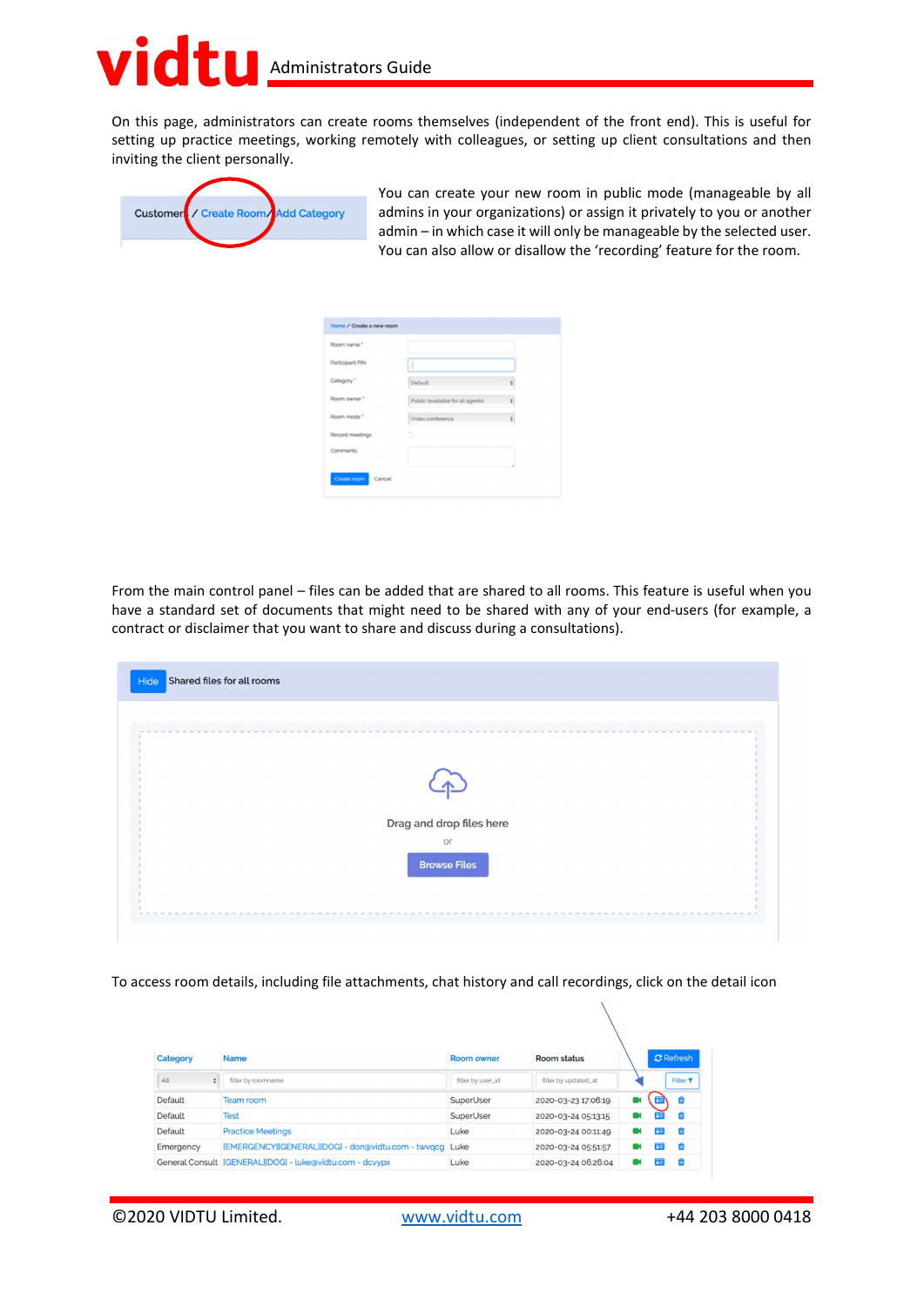### $\overline{\bullet}$ **Administrators Guide**

On this page, administrators can create rooms themselves (independent of the front end). This is useful for setting up practice meetings, working remotely with colleagues, or setting up client consultations and then inviting the client personally.



You can create your new room in public mode (manageable by all admins in your organizations) or assign it privately to you or another admin – in which case it will only be manageable by the selected user. You can also allow or disallow the 'recording' feature for the room.

| Room name *     |                                   |    |
|-----------------|-----------------------------------|----|
| Participant PIN | 1                                 |    |
| Category *      | Default                           | ٠  |
| Room owner *    | Public lavailable for all agents) | ¢. |
| Room mode *     | Video conference                  | ¢. |
| Record meetings | ۰                                 |    |
| Comments        |                                   |    |

From the main control panel – files can be added that are shared to all rooms. This feature is useful when you have a standard set of documents that might need to be shared with any of your end-users (for example, a contract or disclaimer that you want to share and discuss during a consultations).

|  | or                  |                          |  |
|--|---------------------|--------------------------|--|
|  | <b>Browse Files</b> |                          |  |
|  |                     |                          |  |
|  |                     |                          |  |
|  |                     | Drag and drop files here |  |

To access room details, including file attachments, chat history and call recordings, click on the detail icon

| Category  | <b>Name</b>                                              | <b>Room owner</b> | Room status          |   | <b>C</b> Refresh |          |
|-----------|----------------------------------------------------------|-------------------|----------------------|---|------------------|----------|
| All<br>۵  | filter by roomname                                       | filter by user_id | filter by updated_at |   |                  | Filter T |
| Default   | Team room                                                | SuperUser         | 2020-03-23 17:06:19  | œ |                  |          |
| Default   | <b>Test</b>                                              | SuperUser         | 2020-03-24 05:13:15  |   |                  |          |
| Default   | <b>Practice Meetings</b>                                 | Luke              | 2020-03-24 00:11:49  |   | 商                |          |
| Emergency | [EMERGENCY][GENERAL][DOG] - don@vidtu.com - twvqcq Luke  |                   | 2020-03-24 05:51:57  |   | <b>A</b> F       |          |
|           | General Consult [GENERAL][DOG] - luke@vidtu.com - dcvypx | Luke              | 2020-03-24 06:26:04  |   |                  |          |

©2020 VIDTU Limited. www.vidtu.com +44 203 8000 0418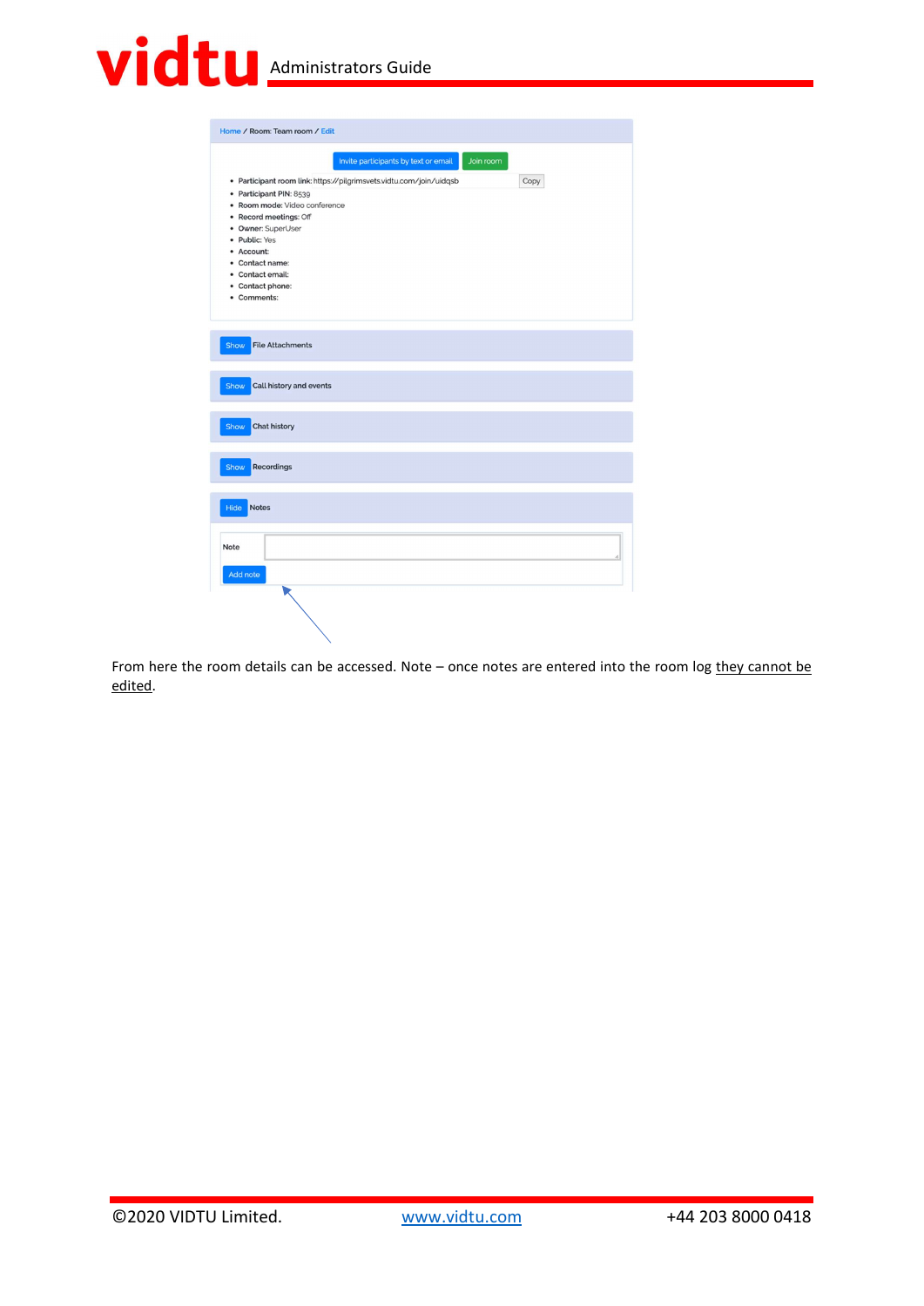# **Vidtu** Administrators Guide

| Invite participants by text or email<br>Join room<br>· Participant room link: https://pilgrimsvets.vidtu.com/join/uidqsb<br>Copy<br>• Participant PIN: 8539<br>· Room mode: Video conference<br>• Record meetings: Off<br>• Owner: SuperUser<br>· Public: Yes<br>• Account:<br>• Contact name:<br>• Contact email:<br>• Contact phone:<br>• Comments:<br><b>File Attachments</b><br>Show<br>Call history and events<br>Show<br><b>Chat history</b><br>Show<br>Show Recordings<br><b>Notes</b><br>Hide<br>Note<br>h<br>Add note | Home / Room: Team room / Edit |
|--------------------------------------------------------------------------------------------------------------------------------------------------------------------------------------------------------------------------------------------------------------------------------------------------------------------------------------------------------------------------------------------------------------------------------------------------------------------------------------------------------------------------------|-------------------------------|
|                                                                                                                                                                                                                                                                                                                                                                                                                                                                                                                                |                               |
|                                                                                                                                                                                                                                                                                                                                                                                                                                                                                                                                |                               |
|                                                                                                                                                                                                                                                                                                                                                                                                                                                                                                                                |                               |
|                                                                                                                                                                                                                                                                                                                                                                                                                                                                                                                                |                               |
|                                                                                                                                                                                                                                                                                                                                                                                                                                                                                                                                |                               |
|                                                                                                                                                                                                                                                                                                                                                                                                                                                                                                                                |                               |
|                                                                                                                                                                                                                                                                                                                                                                                                                                                                                                                                |                               |
|                                                                                                                                                                                                                                                                                                                                                                                                                                                                                                                                |                               |
|                                                                                                                                                                                                                                                                                                                                                                                                                                                                                                                                |                               |

From here the room details can be accessed. Note - once notes are entered into the room log they cannot be edited.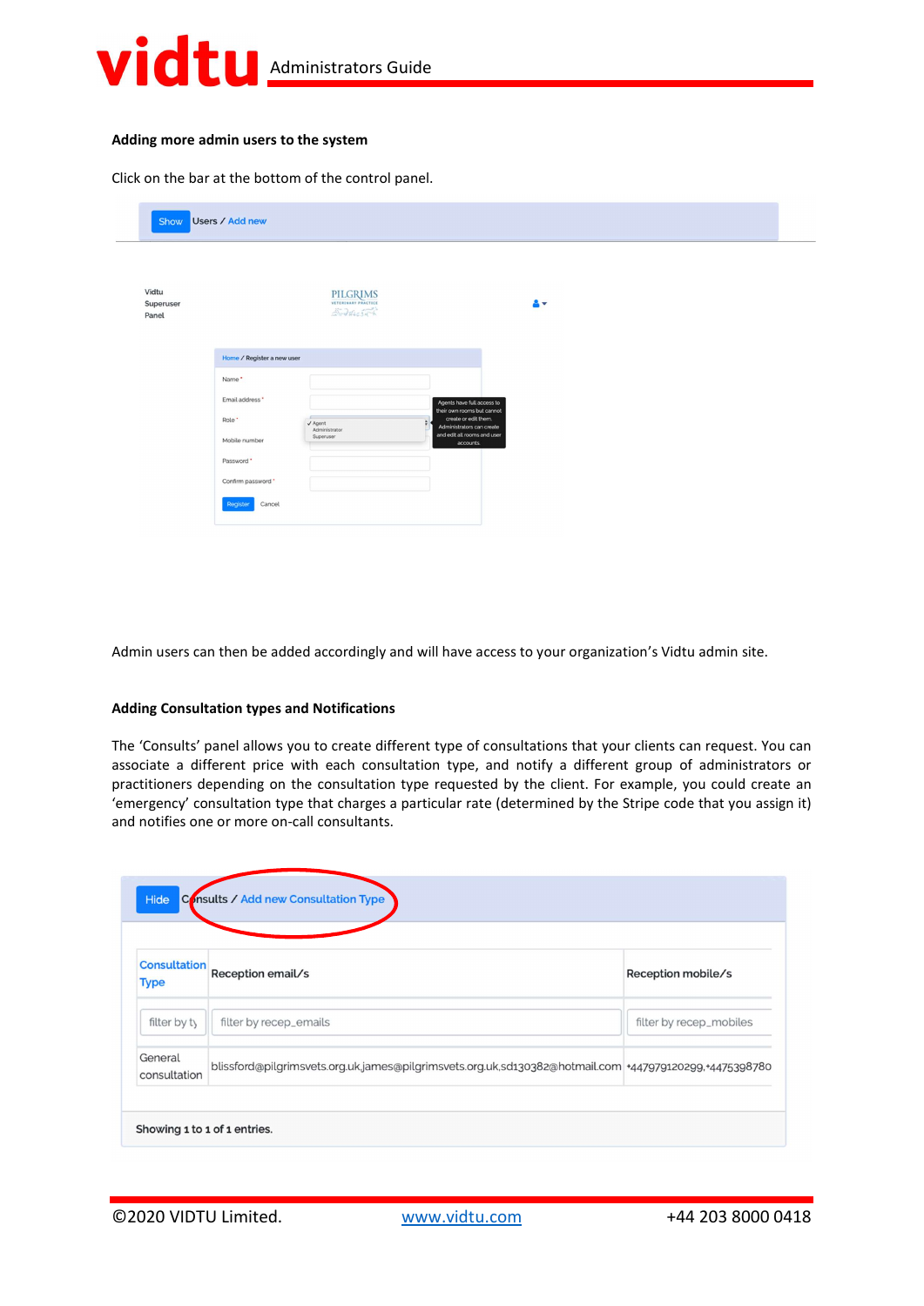

#### Adding more admin users to the system

Click on the bar at the bottom of the control panel.

| Show Users / Add new        |                                                                                                                                                                                                                                                                                                                                                                     |  |
|-----------------------------|---------------------------------------------------------------------------------------------------------------------------------------------------------------------------------------------------------------------------------------------------------------------------------------------------------------------------------------------------------------------|--|
| Vidtu<br>Superuser<br>Panel | PILGRIMS<br>åv.<br>$25 - 3646555$                                                                                                                                                                                                                                                                                                                                   |  |
|                             | Home / Register a new user<br>Name*<br>Email address *<br>Agents have full access to<br>their own rooms but cannot<br>c<br>create or edit them.<br>Role <sup>*</sup><br>$\sqrt{\frac{1}{2}}$ Agent<br>Administrators can create<br>and edit all rooms and user<br>Superuser<br>Mobile number<br>accounts.<br>Password *<br>Confirm password *<br>Register<br>Cancel |  |

Admin users can then be added accordingly and will have access to your organization's Vidtu admin site.

#### Adding Consultation types and Notifications

The 'Consults' panel allows you to create different type of consultations that your clients can request. You can associate a different price with each consultation type, and notify a different group of administrators or practitioners depending on the consultation type requested by the client. For example, you could create an 'emergency' consultation type that charges a particular rate (determined by the Stripe code that you assign it) and notifies one or more on-call consultants.

| <b>Consultation</b>     | Reception email/s                                                                                      | Reception mobile/s      |
|-------------------------|--------------------------------------------------------------------------------------------------------|-------------------------|
| <b>Type</b>             |                                                                                                        |                         |
| filter by ty            | filter by recep_emails                                                                                 | filter by recep_mobiles |
| General<br>consultation | blissford@pilgrimsvets.org.uk.james@pilgrimsvets.org.uk,sd130382@hotmail.com +447979120299,+4475398780 |                         |